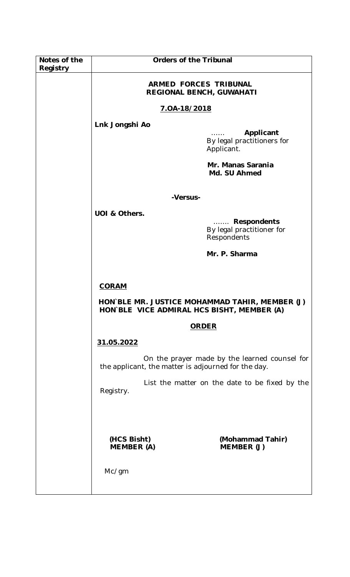| Notes of the<br>Registry | <b>Orders of the Tribunal</b>                            |                                                         |
|--------------------------|----------------------------------------------------------|---------------------------------------------------------|
|                          | <b>ARMED FORCES TRIBUNAL</b><br>REGIONAL BENCH, GUWAHATI |                                                         |
|                          | 7.0A-18/2018                                             |                                                         |
|                          | Lnk Jongshi Ao                                           |                                                         |
|                          |                                                          | Applicant<br>By legal practitioners for<br>Applicant.   |
|                          |                                                          | Mr. Manas Sarania<br>Md. SU Ahmed                       |
|                          | -Versus-                                                 |                                                         |
|                          | UOI & Others.                                            | Respondents<br>By legal practitioner for<br>Respondents |
|                          |                                                          | Mr. P. Sharma                                           |
|                          |                                                          |                                                         |
|                          | <b>CORAM</b>                                             |                                                         |
|                          | HON BLE VICE ADMIRAL HCS BISHT, MEMBER (A)               | HON BLE MR. JUSTICE MOHAMMAD TAHIR, MEMBER (J)          |
|                          |                                                          | <b>ORDER</b>                                            |
|                          | 31.05.2022                                               |                                                         |
|                          | the applicant, the matter is adjourned for the day.      | On the prayer made by the learned counsel for           |
|                          | Registry.                                                | List the matter on the date to be fixed by the          |
|                          |                                                          |                                                         |
|                          | (HCS Bisht)<br><b>MEMBER (A)</b>                         | (Mohammad Tahir)<br>MEMBER (J)                          |
|                          | Mc/gm                                                    |                                                         |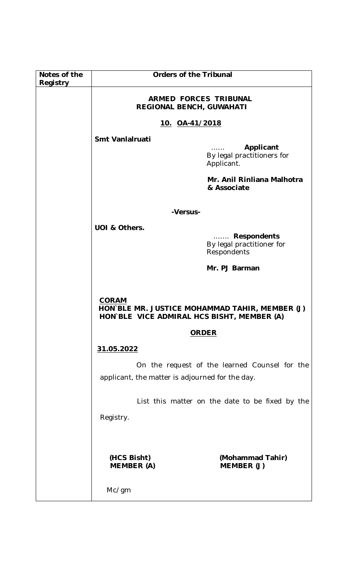| Notes of the<br>Registry | <b>Orders of the Tribunal</b>                                  |                                                         |
|--------------------------|----------------------------------------------------------------|---------------------------------------------------------|
|                          | <b>ARMED FORCES TRIBUNAL</b><br>REGIONAL BENCH, GUWAHATI       |                                                         |
|                          | <u>10. OA-41/2018</u>                                          |                                                         |
|                          | Smt Vanlalruati                                                |                                                         |
|                          |                                                                | Applicant<br>By legal practitioners for<br>Applicant.   |
|                          |                                                                | Mr. Anil Rinliana Malhotra<br>& Associate               |
|                          | -Versus-                                                       |                                                         |
|                          | UOI & Others.                                                  |                                                         |
|                          |                                                                | Respondents<br>By legal practitioner for<br>Respondents |
|                          |                                                                | Mr. PJ Barman                                           |
|                          | <b>CORAM</b><br>HON`BLE MR. JUSTICE MOHAMMAD TAHIR, MEMBER (J) |                                                         |
|                          | HON BLE VICE ADMIRAL HCS BISHT, MEMBER (A)                     |                                                         |
|                          |                                                                | <b>ORDER</b>                                            |
|                          | 31.05.2022                                                     |                                                         |
|                          |                                                                | On the request of the learned Counsel for the           |
|                          | applicant, the matter is adjourned for the day.                |                                                         |
|                          |                                                                | List this matter on the date to be fixed by the         |
|                          | Registry.                                                      |                                                         |
|                          |                                                                |                                                         |
|                          | (HCS Bisht)<br><b>MEMBER (A)</b>                               | (Mohammad Tahir)<br>MEMBER (J)                          |
|                          | Mc/gm                                                          |                                                         |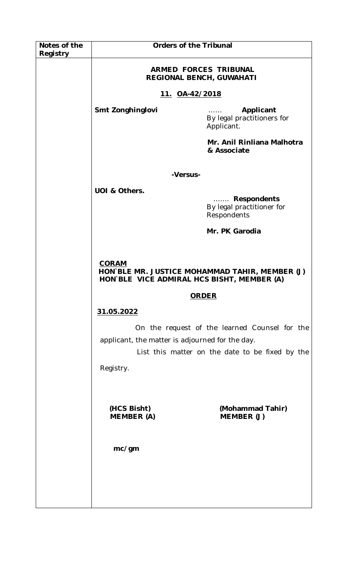| Notes of the<br>Registry | <b>Orders of the Tribunal</b>                              |                                                                                                  |
|--------------------------|------------------------------------------------------------|--------------------------------------------------------------------------------------------------|
|                          | ARMED FORCES TRIBUNAL<br>REGIONAL BENCH, GUWAHATI          |                                                                                                  |
|                          | 11. 0A-42/2018                                             |                                                                                                  |
|                          | Smt Zonghinglovi                                           | Applicant<br>By legal practitioners for<br>Applicant.                                            |
|                          |                                                            | Mr. Anil Rinliana Malhotra<br>& Associate                                                        |
|                          | -Versus-                                                   |                                                                                                  |
|                          | UOI & Others.                                              | <b>Respondents</b><br>.<br>By legal practitioner for<br>Respondents                              |
|                          |                                                            | Mr. PK Garodia                                                                                   |
|                          |                                                            |                                                                                                  |
|                          | <b>CORAM</b><br>HON BLE VICE ADMIRAL HCS BISHT, MEMBER (A) | HON BLE MR. JUSTICE MOHAMMAD TAHIR, MEMBER (J)                                                   |
|                          |                                                            | <b>ORDER</b>                                                                                     |
|                          | 31.05.2022                                                 |                                                                                                  |
|                          | applicant, the matter is adjourned for the day.            | On the request of the learned Counsel for the<br>List this matter on the date to be fixed by the |
|                          | Registry.                                                  |                                                                                                  |
|                          |                                                            |                                                                                                  |
|                          | (HCS Bisht)<br><b>MEMBER (A)</b>                           | (Mohammad Tahir)<br>MEMBER (J)                                                                   |
|                          | mc/gm                                                      |                                                                                                  |
|                          |                                                            |                                                                                                  |
|                          |                                                            |                                                                                                  |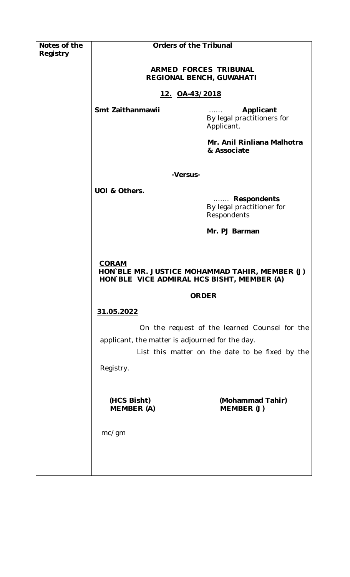| Notes of the<br>Registry | <b>Orders of the Tribunal</b>                              |                                                                                    |
|--------------------------|------------------------------------------------------------|------------------------------------------------------------------------------------|
|                          | <b>ARMED FORCES TRIBUNAL</b><br>REGIONAL BENCH, GUWAHATI   |                                                                                    |
|                          | 12. OA-43/2018                                             |                                                                                    |
|                          | Smt Zaithanmawii                                           | Applicant<br>$\sim 1.1$ and $\sim 1.1$<br>By legal practitioners for<br>Applicant. |
|                          |                                                            | Mr. Anil Rinliana Malhotra<br>& Associate                                          |
|                          | -Versus-                                                   |                                                                                    |
|                          | UOI & Others.                                              | Respondents<br>By legal practitioner for<br>Respondents                            |
|                          |                                                            | Mr. PJ Barman                                                                      |
|                          |                                                            |                                                                                    |
|                          | <b>CORAM</b><br>HON BLE VICE ADMIRAL HCS BISHT, MEMBER (A) | HON BLE MR. JUSTICE MOHAMMAD TAHIR, MEMBER (J)                                     |
|                          | <b>ORDER</b>                                               |                                                                                    |
|                          | 31.05.2022                                                 |                                                                                    |
|                          | applicant, the matter is adjourned for the day.            | On the request of the learned Counsel for the                                      |
|                          |                                                            | List this matter on the date to be fixed by the                                    |
|                          | Registry.                                                  |                                                                                    |
|                          |                                                            |                                                                                    |
|                          | (HCS Bisht)<br><b>MEMBER</b> (A)                           | (Mohammad Tahir)<br>MEMBER (J)                                                     |
|                          | mc/gm                                                      |                                                                                    |
|                          |                                                            |                                                                                    |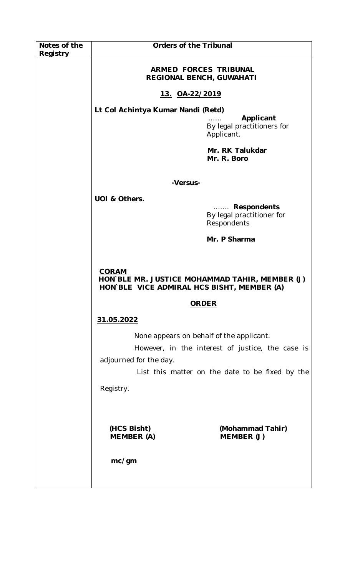| Notes of the<br>Registry | <b>Orders of the Tribunal</b>                                                                                |                                                         |
|--------------------------|--------------------------------------------------------------------------------------------------------------|---------------------------------------------------------|
|                          | ARMED FORCES TRIBUNAL<br><b>REGIONAL BENCH, GUWAHATI</b>                                                     |                                                         |
|                          | 13. OA-22/2019                                                                                               |                                                         |
|                          | Lt Col Achintya Kumar Nandi (Retd)                                                                           | Applicant<br>By legal practitioners for<br>Applicant.   |
|                          |                                                                                                              | Mr. RK Talukdar<br>Mr. R. Boro                          |
|                          | -Versus-                                                                                                     |                                                         |
|                          | UOI & Others.                                                                                                | Respondents<br>By legal practitioner for<br>Respondents |
|                          |                                                                                                              | Mr. P Sharma                                            |
|                          |                                                                                                              |                                                         |
|                          | <b>CORAM</b><br>HON BLE MR. JUSTICE MOHAMMAD TAHIR, MEMBER (J)<br>HON BLE VICE ADMIRAL HCS BISHT, MEMBER (A) |                                                         |
|                          | <b>ORDER</b>                                                                                                 |                                                         |
|                          | 31.05.2022                                                                                                   |                                                         |
|                          | None appears on behalf of the applicant.                                                                     |                                                         |
|                          |                                                                                                              | However, in the interest of justice, the case is        |
|                          | adjourned for the day.                                                                                       | List this matter on the date to be fixed by the         |
|                          | Registry.                                                                                                    |                                                         |
|                          |                                                                                                              |                                                         |
|                          | (HCS Bisht)<br><b>MEMBER (A)</b>                                                                             | (Mohammad Tahir)<br>MEMBER (J)                          |
|                          | mc/gm                                                                                                        |                                                         |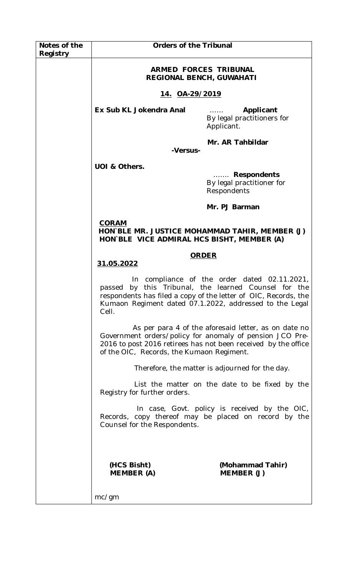| Notes of the<br>Registry | <b>Orders of the Tribunal</b>                                                                                |                                                                                                                                                                                                                             |
|--------------------------|--------------------------------------------------------------------------------------------------------------|-----------------------------------------------------------------------------------------------------------------------------------------------------------------------------------------------------------------------------|
|                          | <b>ARMED FORCES TRIBUNAL</b><br><b>REGIONAL BENCH, GUWAHATI</b>                                              |                                                                                                                                                                                                                             |
|                          | 14. OA-29/2019                                                                                               |                                                                                                                                                                                                                             |
|                          | Ex Sub KL Jokendra Anal                                                                                      | Applicant<br>By legal practitioners for<br>Applicant.                                                                                                                                                                       |
|                          | -Versus-                                                                                                     | Mr. AR Tahbildar                                                                                                                                                                                                            |
|                          | UOI & Others.                                                                                                |                                                                                                                                                                                                                             |
|                          |                                                                                                              | Respondents<br>By legal practitioner for<br>Respondents                                                                                                                                                                     |
|                          |                                                                                                              | Mr. PJ Barman                                                                                                                                                                                                               |
|                          | <b>CORAM</b><br>HON BLE MR. JUSTICE MOHAMMAD TAHIR, MEMBER (J)<br>HON BLE VICE ADMIRAL HCS BISHT, MEMBER (A) |                                                                                                                                                                                                                             |
|                          | <b>ORDER</b><br>31.05.2022                                                                                   |                                                                                                                                                                                                                             |
|                          | passed<br>Cell.                                                                                              | In compliance of the order dated 02.11.2021,<br>by this Tribunal, the learned Counsel for the<br>respondents has filed a copy of the letter of OIC, Records, the<br>Kumaon Regiment dated 07.1.2022, addressed to the Legal |
|                          | of the OIC, Records, the Kumaon Regiment.                                                                    | As per para 4 of the aforesaid letter, as on date no<br>Government orders/policy for anomaly of pension JCO Pre-<br>2016 to post 2016 retirees has not been received by the office                                          |
|                          |                                                                                                              | Therefore, the matter is adjourned for the day.                                                                                                                                                                             |
|                          | Registry for further orders.                                                                                 | List the matter on the date to be fixed by the                                                                                                                                                                              |
|                          | Counsel for the Respondents.                                                                                 | In case, Govt. policy is received by the OIC,<br>Records, copy thereof may be placed on record by the                                                                                                                       |
|                          | (HCS Bisht)<br>MEMBER (A)<br>mc/gm                                                                           | (Mohammad Tahir)<br>MEMBER (J)                                                                                                                                                                                              |
|                          |                                                                                                              |                                                                                                                                                                                                                             |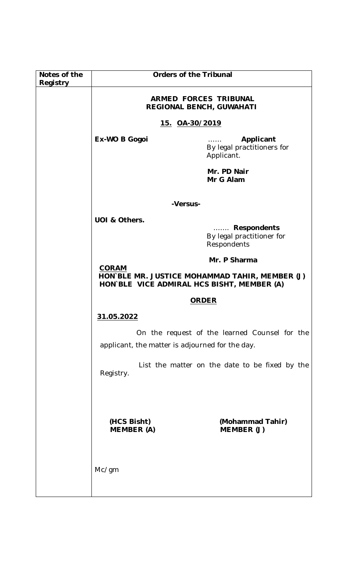| Notes of the<br>Registry | <b>Orders of the Tribunal</b>                                                                                |                                                         |
|--------------------------|--------------------------------------------------------------------------------------------------------------|---------------------------------------------------------|
|                          | <b>ARMED FORCES TRIBUNAL</b><br>REGIONAL BENCH, GUWAHATI                                                     |                                                         |
|                          | 15. 0A-30/2019                                                                                               |                                                         |
|                          | Ex-WO B Gogoi                                                                                                | Applicant<br>By legal practitioners for<br>Applicant.   |
|                          |                                                                                                              | Mr. PD Nair<br>Mr G Alam                                |
|                          | -Versus-                                                                                                     |                                                         |
|                          | UOI & Others.                                                                                                | Respondents<br>By legal practitioner for<br>Respondents |
|                          |                                                                                                              | Mr. P Sharma                                            |
|                          | <b>CORAM</b><br>HON BLE MR. JUSTICE MOHAMMAD TAHIR, MEMBER (J)<br>HON BLE VICE ADMIRAL HCS BISHT, MEMBER (A) |                                                         |
|                          | <b>ORDER</b>                                                                                                 |                                                         |
|                          | 31.05.2022                                                                                                   |                                                         |
|                          | applicant, the matter is adjourned for the day.                                                              | On the request of the learned Counsel for the           |
|                          | Registry.                                                                                                    | List the matter on the date to be fixed by the          |
|                          | (HCS Bisht)                                                                                                  | (Mohammad Tahir)                                        |
|                          | <b>MEMBER (A)</b>                                                                                            | MEMBER (J)                                              |
|                          | Mc/gm                                                                                                        |                                                         |
|                          |                                                                                                              |                                                         |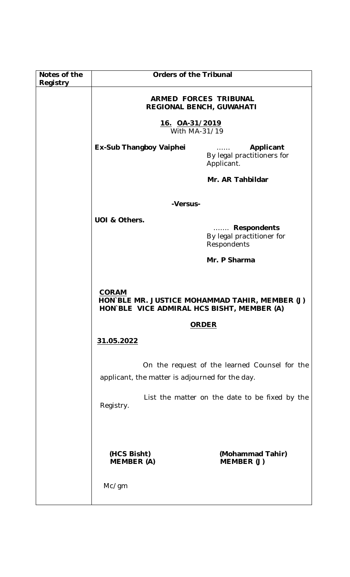| Notes of the<br>Registry | <b>Orders of the Tribunal</b>                                                                                |                                                         |
|--------------------------|--------------------------------------------------------------------------------------------------------------|---------------------------------------------------------|
|                          | <b>ARMED FORCES TRIBUNAL</b><br><b>REGIONAL BENCH, GUWAHATI</b>                                              |                                                         |
|                          | 16. 0A-31/2019<br>With MA-31/19                                                                              |                                                         |
|                          | <b>Ex-Sub Thangboy Vaiphei</b>                                                                               | Applicant<br>By legal practitioners for<br>Applicant.   |
|                          |                                                                                                              | Mr. AR Tahbildar                                        |
|                          | -Versus-                                                                                                     |                                                         |
|                          | UOI & Others.                                                                                                |                                                         |
|                          |                                                                                                              | Respondents<br>By legal practitioner for<br>Respondents |
|                          |                                                                                                              | Mr. P Sharma                                            |
|                          |                                                                                                              |                                                         |
|                          | <b>CORAM</b><br>HON BLE MR. JUSTICE MOHAMMAD TAHIR, MEMBER (J)<br>HON BLE VICE ADMIRAL HCS BISHT, MEMBER (A) |                                                         |
|                          | <b>ORDER</b>                                                                                                 |                                                         |
|                          | 31.05.2022                                                                                                   |                                                         |
|                          | applicant, the matter is adjourned for the day.                                                              | On the request of the learned Counsel for the           |
|                          | Registry.                                                                                                    | List the matter on the date to be fixed by the          |
|                          |                                                                                                              |                                                         |
|                          | (HCS Bisht)<br><b>MEMBER (A)</b>                                                                             | (Mohammad Tahir)<br>MEMBER (J)                          |
|                          | Mc/gm                                                                                                        |                                                         |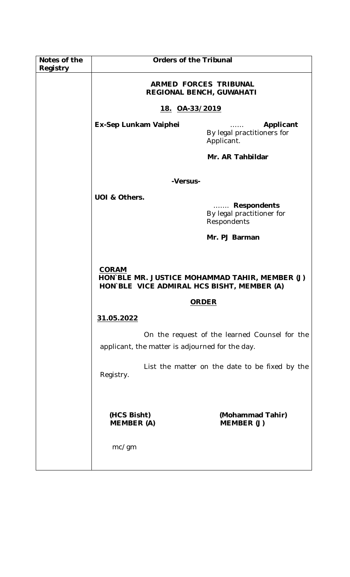| Notes of the<br>Registry | <b>Orders of the Tribunal</b>                                   |                                                         |
|--------------------------|-----------------------------------------------------------------|---------------------------------------------------------|
|                          | <b>ARMED FORCES TRIBUNAL</b><br><b>REGIONAL BENCH, GUWAHATI</b> |                                                         |
|                          | 18. OA-33/2019                                                  |                                                         |
|                          | Ex-Sep Lunkam Vaiphei                                           | Applicant<br>By legal practitioners for<br>Applicant.   |
|                          |                                                                 | Mr. AR Tahbildar                                        |
|                          | -Versus-                                                        |                                                         |
|                          | UOI & Others.                                                   |                                                         |
|                          |                                                                 | Respondents<br>By legal practitioner for<br>Respondents |
|                          |                                                                 | Mr. PJ Barman                                           |
|                          |                                                                 |                                                         |
|                          | <b>CORAM</b><br>HON`BLE VICE ADMIRAL HCS BISHT, MEMBER (A)      | HON BLE MR. JUSTICE MOHAMMAD TAHIR, MEMBER (J)          |
|                          |                                                                 | <b>ORDER</b>                                            |
|                          | 31.05.2022                                                      |                                                         |
|                          | applicant, the matter is adjourned for the day.                 | On the request of the learned Counsel for the           |
|                          | Registry.                                                       | List the matter on the date to be fixed by the          |
|                          | (HCS Bisht)<br><b>MEMBER (A)</b><br>mc/gm                       | (Mohammad Tahir)<br>MEMBER (J)                          |
|                          |                                                                 |                                                         |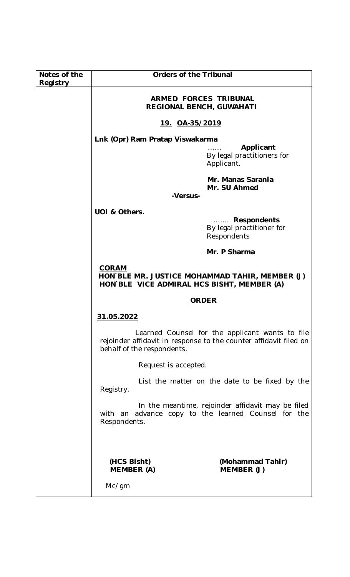| Notes of the | <b>Orders of the Tribunal</b>                                                                                |                                                                                                                      |
|--------------|--------------------------------------------------------------------------------------------------------------|----------------------------------------------------------------------------------------------------------------------|
| Registry     |                                                                                                              |                                                                                                                      |
|              | <b>ARMED FORCES TRIBUNAL</b><br><b>REGIONAL BENCH, GUWAHATI</b>                                              |                                                                                                                      |
|              | <u>19. OA-35/2019</u>                                                                                        |                                                                                                                      |
|              | Lnk (Opr) Ram Pratap Viswakarma                                                                              |                                                                                                                      |
|              |                                                                                                              | Applicant<br>By legal practitioners for<br>Applicant.                                                                |
|              | -Versus-                                                                                                     | Mr. Manas Sarania<br>Mr. SU Ahmed                                                                                    |
|              |                                                                                                              |                                                                                                                      |
|              | UOI & Others.                                                                                                | Respondents<br>By legal practitioner for<br>Respondents                                                              |
|              |                                                                                                              | Mr. P Sharma                                                                                                         |
|              | <b>CORAM</b><br>HON BLE MR. JUSTICE MOHAMMAD TAHIR, MEMBER (J)<br>HON BLE VICE ADMIRAL HCS BISHT, MEMBER (A) |                                                                                                                      |
|              | <b>ORDER</b>                                                                                                 |                                                                                                                      |
|              | 31.05.2022                                                                                                   |                                                                                                                      |
|              | behalf of the respondents.                                                                                   | Learned Counsel for the applicant wants to file<br>rejoinder affidavit in response to the counter affidavit filed on |
|              | Request is accepted.                                                                                         |                                                                                                                      |
|              | Registry.                                                                                                    | List the matter on the date to be fixed by the                                                                       |
|              | Respondents.                                                                                                 | In the meantime, rejoinder affidavit may be filed<br>with an advance copy to the learned Counsel for the             |
|              | (HCS Bisht)<br><b>MEMBER</b> (A)                                                                             | (Mohammad Tahir)<br>MEMBER (J)                                                                                       |
|              | Mc/gm                                                                                                        |                                                                                                                      |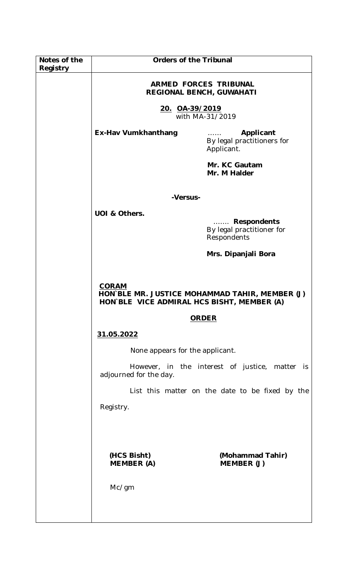| Notes of the<br>Registry | <b>Orders of the Tribunal</b>                                   |                                                                     |
|--------------------------|-----------------------------------------------------------------|---------------------------------------------------------------------|
|                          | <b>ARMED FORCES TRIBUNAL</b><br><b>REGIONAL BENCH, GUWAHATI</b> |                                                                     |
|                          | <u>20. OA-39/2019</u><br>with MA-31/2019                        |                                                                     |
|                          | <b>Ex-Hav Vumkhanthang</b>                                      | Applicant<br>By legal practitioners for<br>Applicant.               |
|                          |                                                                 | Mr. KC Gautam<br>Mr. M Halder                                       |
|                          | -Versus-                                                        |                                                                     |
|                          | UOI & Others.                                                   |                                                                     |
|                          |                                                                 | <b>Respondents</b><br>.<br>By legal practitioner for<br>Respondents |
|                          |                                                                 | Mrs. Dipanjali Bora                                                 |
|                          |                                                                 |                                                                     |
|                          | <b>CORAM</b><br>HON`BLE VICE ADMIRAL HCS BISHT, MEMBER (A)      | HON BLE MR. JUSTICE MOHAMMAD TAHIR, MEMBER (J)                      |
|                          |                                                                 | <b>ORDER</b>                                                        |
|                          | 31.05.2022                                                      |                                                                     |
|                          | None appears for the applicant.                                 |                                                                     |
|                          | adjourned for the day.                                          | However, in the interest of justice, matter<br><i>is</i>            |
|                          |                                                                 | List this matter on the date to be fixed by the                     |
|                          | Registry.                                                       |                                                                     |
|                          |                                                                 |                                                                     |
|                          | (HCS Bisht)<br><b>MEMBER (A)</b>                                | (Mohammad Tahir)<br>MEMBER (J)                                      |
|                          | Mc/gm                                                           |                                                                     |
|                          |                                                                 |                                                                     |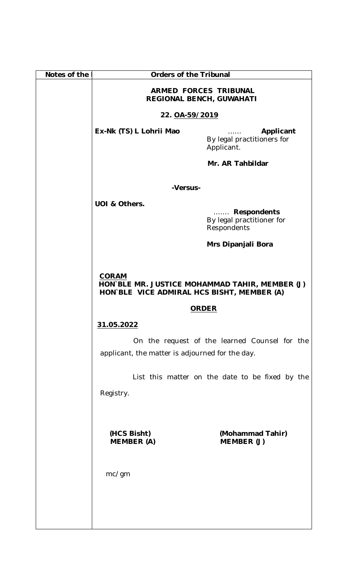| Notes of the | <b>Orders of the Tribunal</b>                                                                                |                                                            |
|--------------|--------------------------------------------------------------------------------------------------------------|------------------------------------------------------------|
|              | ARMED FORCES TRIBUNAL<br>REGIONAL BENCH, GUWAHATI                                                            |                                                            |
|              | 22. 0A-59/2019                                                                                               |                                                            |
|              | Ex-Nk (TS) L Lohrii Mao                                                                                      | Applicant<br>.<br>By legal practitioners for<br>Applicant. |
|              |                                                                                                              | Mr. AR Tahbildar                                           |
|              | -Versus-                                                                                                     |                                                            |
|              | UOI & Others.                                                                                                |                                                            |
|              |                                                                                                              | Respondents<br>By legal practitioner for<br>Respondents    |
|              |                                                                                                              | Mrs Dipanjali Bora                                         |
|              |                                                                                                              |                                                            |
|              | <b>CORAM</b><br>HON BLE MR. JUSTICE MOHAMMAD TAHIR, MEMBER (J)<br>HON BLE VICE ADMIRAL HCS BISHT, MEMBER (A) |                                                            |
|              | <b>ORDER</b>                                                                                                 |                                                            |
|              | 31.05.2022                                                                                                   |                                                            |
|              | applicant, the matter is adjourned for the day.                                                              | On the request of the learned Counsel for the              |
|              |                                                                                                              | List this matter on the date to be fixed by the            |
|              | Registry.                                                                                                    |                                                            |
|              |                                                                                                              |                                                            |
|              | (HCS Bisht)<br><b>MEMBER</b> (A)                                                                             | (Mohammad Tahir)<br>MEMBER (J)                             |
|              | mc/gm                                                                                                        |                                                            |
|              |                                                                                                              |                                                            |
|              |                                                                                                              |                                                            |
|              |                                                                                                              |                                                            |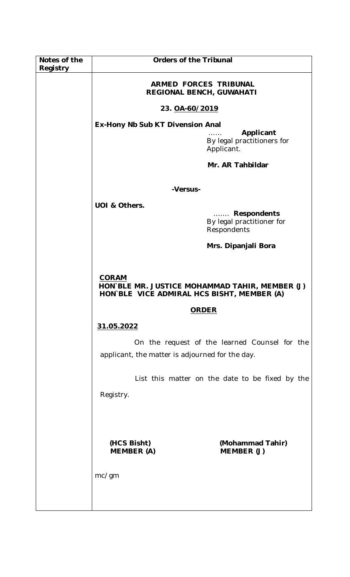| Notes of the<br>Registry | <b>Orders of the Tribunal</b>                                                                                |                                                                                                                        |
|--------------------------|--------------------------------------------------------------------------------------------------------------|------------------------------------------------------------------------------------------------------------------------|
|                          | ARMED FORCES TRIBUNAL<br>REGIONAL BENCH, GUWAHATI                                                            |                                                                                                                        |
|                          | 23. OA-60/2019                                                                                               |                                                                                                                        |
|                          | Ex-Hony Nb Sub KT Divension Anal<br>Applicant<br>By legal practitioners for<br>Applicant.                    |                                                                                                                        |
|                          | Mr. AR Tahbildar                                                                                             |                                                                                                                        |
|                          | -Versus-                                                                                                     |                                                                                                                        |
|                          | UOI & Others.                                                                                                |                                                                                                                        |
|                          |                                                                                                              | <b>Respondents</b><br>$\mathbb{R}^{n \times n \times n \times n \times n}$<br>By legal practitioner for<br>Respondents |
|                          | Mrs. Dipanjali Bora                                                                                          |                                                                                                                        |
|                          | <b>CORAM</b><br>HON BLE MR. JUSTICE MOHAMMAD TAHIR, MEMBER (J)<br>HON`BLE VICE ADMIRAL HCS BISHT, MEMBER (A) |                                                                                                                        |
|                          |                                                                                                              | <b>ORDER</b>                                                                                                           |
|                          | 31.05.2022                                                                                                   |                                                                                                                        |
|                          | applicant, the matter is adjourned for the day.                                                              | On the request of the learned Counsel for the                                                                          |
|                          |                                                                                                              | List this matter on the date to be fixed by the                                                                        |
|                          | Registry.                                                                                                    |                                                                                                                        |
|                          | (HCS Bisht)<br><b>MEMBER (A)</b><br>mc/gm                                                                    | (Mohammad Tahir)<br>MEMBER (J)                                                                                         |
|                          |                                                                                                              |                                                                                                                        |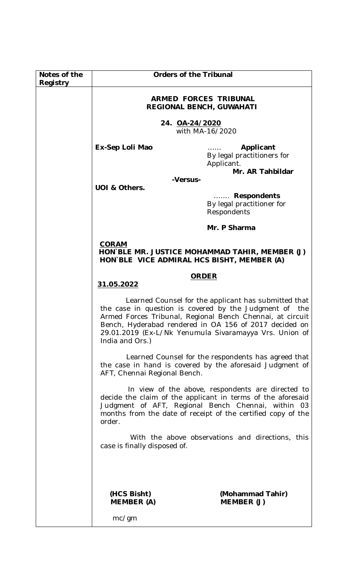| Notes of the<br>Registry | <b>Orders of the Tribunal</b>                                                                                                                                                                                                                                                                                                                                                                                                                                                                                                                                                                                                                                                                                                |                                                         |
|--------------------------|------------------------------------------------------------------------------------------------------------------------------------------------------------------------------------------------------------------------------------------------------------------------------------------------------------------------------------------------------------------------------------------------------------------------------------------------------------------------------------------------------------------------------------------------------------------------------------------------------------------------------------------------------------------------------------------------------------------------------|---------------------------------------------------------|
|                          | <b>ARMED FORCES TRIBUNAL</b><br><b>REGIONAL BENCH, GUWAHATI</b>                                                                                                                                                                                                                                                                                                                                                                                                                                                                                                                                                                                                                                                              |                                                         |
|                          | 24. OA-24/2020<br>with MA-16/2020                                                                                                                                                                                                                                                                                                                                                                                                                                                                                                                                                                                                                                                                                            |                                                         |
|                          | Ex-Sep Loli Mao                                                                                                                                                                                                                                                                                                                                                                                                                                                                                                                                                                                                                                                                                                              | Applicant<br>By legal practitioners for<br>Applicant.   |
|                          | Mr. AR Tahbildar<br>-Versus-<br>UOI & Others.                                                                                                                                                                                                                                                                                                                                                                                                                                                                                                                                                                                                                                                                                |                                                         |
|                          |                                                                                                                                                                                                                                                                                                                                                                                                                                                                                                                                                                                                                                                                                                                              | Respondents<br>By legal practitioner for<br>Respondents |
|                          |                                                                                                                                                                                                                                                                                                                                                                                                                                                                                                                                                                                                                                                                                                                              | Mr. P Sharma                                            |
|                          | <b>CORAM</b><br>HON BLE MR. JUSTICE MOHAMMAD TAHIR, MEMBER (J)<br>HON`BLE VICE ADMIRAL HCS BISHT, MEMBER (A)                                                                                                                                                                                                                                                                                                                                                                                                                                                                                                                                                                                                                 |                                                         |
|                          | <b>ORDER</b><br>31.05.2022                                                                                                                                                                                                                                                                                                                                                                                                                                                                                                                                                                                                                                                                                                   |                                                         |
|                          | Learned Counsel for the applicant has submitted that<br>the case in question is covered by the Judgment of<br>the<br>Armed Forces Tribunal, Regional Bench Chennai, at circuit<br>Bench, Hyderabad rendered in OA 156 of 2017 decided on<br>29.01.2019 (Ex-L/Nk Yenumula Sivaramayya Vrs. Union of<br>India and Ors.)<br>Learned Counsel for the respondents has agreed that<br>the case in hand is covered by the aforesaid Judgment of<br>AFT, Chennai Regional Bench.<br>In view of the above, respondents are directed to<br>decide the claim of the applicant in terms of the aforesaid<br>Judgment of AFT, Regional Bench Chennai, within 03<br>months from the date of receipt of the certified copy of the<br>order. |                                                         |
|                          |                                                                                                                                                                                                                                                                                                                                                                                                                                                                                                                                                                                                                                                                                                                              |                                                         |
|                          |                                                                                                                                                                                                                                                                                                                                                                                                                                                                                                                                                                                                                                                                                                                              |                                                         |
|                          | With the above observations and directions, this<br>case is finally disposed of.                                                                                                                                                                                                                                                                                                                                                                                                                                                                                                                                                                                                                                             |                                                         |
|                          |                                                                                                                                                                                                                                                                                                                                                                                                                                                                                                                                                                                                                                                                                                                              |                                                         |
|                          | (HCS Bisht)<br><b>MEMBER (A)</b>                                                                                                                                                                                                                                                                                                                                                                                                                                                                                                                                                                                                                                                                                             | (Mohammad Tahir)<br>MEMBER (J)                          |
|                          | mc/gm                                                                                                                                                                                                                                                                                                                                                                                                                                                                                                                                                                                                                                                                                                                        |                                                         |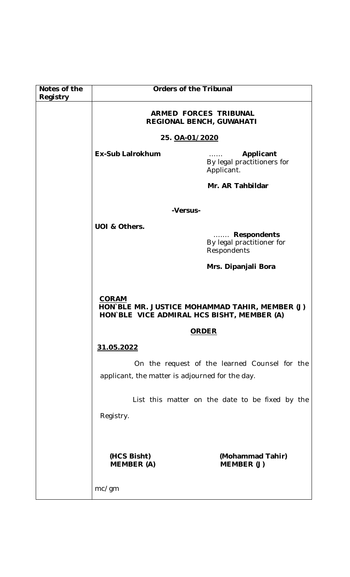| Notes of the<br>Registry | <b>Orders of the Tribunal</b>                                                                                |                                                                                                            |
|--------------------------|--------------------------------------------------------------------------------------------------------------|------------------------------------------------------------------------------------------------------------|
|                          | <b>ARMED FORCES TRIBUNAL</b><br>REGIONAL BENCH, GUWAHATI                                                     |                                                                                                            |
|                          | 25. OA-01/2020                                                                                               |                                                                                                            |
|                          | <b>Ex-Sub Lalrokhum</b>                                                                                      | Applicant<br>By legal practitioners for<br>Applicant.                                                      |
|                          |                                                                                                              | Mr. AR Tahbildar                                                                                           |
|                          |                                                                                                              |                                                                                                            |
|                          | -Versus-                                                                                                     |                                                                                                            |
|                          | UOI & Others.                                                                                                | <b>Respondents</b><br>$\mathcal{L}$ . The set of $\mathcal{L}$<br>By legal practitioner for<br>Respondents |
|                          | Mrs. Dipanjali Bora                                                                                          |                                                                                                            |
|                          |                                                                                                              |                                                                                                            |
|                          | <b>CORAM</b><br>HON BLE MR. JUSTICE MOHAMMAD TAHIR, MEMBER (J)<br>HON`BLE VICE ADMIRAL HCS BISHT, MEMBER (A) |                                                                                                            |
|                          | <b>ORDER</b>                                                                                                 |                                                                                                            |
|                          | 31.05.2022                                                                                                   |                                                                                                            |
|                          | applicant, the matter is adjourned for the day.                                                              | On the request of the learned Counsel for the                                                              |
|                          | Registry.                                                                                                    | List this matter on the date to be fixed by the                                                            |
|                          | (HCS Bisht)<br><b>MEMBER (A)</b><br>mc/gm                                                                    | (Mohammad Tahir)<br>MEMBER (J)                                                                             |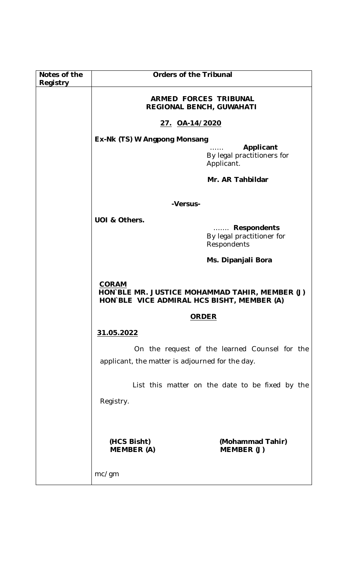| Notes of the<br>Registry | <b>Orders of the Tribunal</b>                                                                                |                                                         |
|--------------------------|--------------------------------------------------------------------------------------------------------------|---------------------------------------------------------|
|                          | <b>ARMED FORCES TRIBUNAL</b><br>REGIONAL BENCH, GUWAHATI                                                     |                                                         |
|                          | <u>27. OA-14/2020</u>                                                                                        |                                                         |
|                          | Ex-Nk (TS) W Angpong Monsang                                                                                 |                                                         |
|                          | Applicant<br>By legal practitioners for<br>Applicant.                                                        |                                                         |
|                          | Mr. AR Tahbildar                                                                                             |                                                         |
|                          | -Versus-                                                                                                     |                                                         |
|                          | UOI & Others.                                                                                                |                                                         |
|                          |                                                                                                              | Respondents<br>By legal practitioner for<br>Respondents |
|                          | Ms. Dipanjali Bora                                                                                           |                                                         |
|                          | <b>CORAM</b><br>HON BLE MR. JUSTICE MOHAMMAD TAHIR, MEMBER (J)<br>HON BLE VICE ADMIRAL HCS BISHT, MEMBER (A) |                                                         |
|                          | <b>ORDER</b>                                                                                                 |                                                         |
|                          | 31.05.2022                                                                                                   |                                                         |
|                          | applicant, the matter is adjourned for the day.                                                              | On the request of the learned Counsel for the           |
|                          |                                                                                                              | List this matter on the date to be fixed by the         |
|                          | Registry.                                                                                                    |                                                         |
|                          |                                                                                                              |                                                         |
|                          | (HCS Bisht)<br><b>MEMBER (A)</b>                                                                             | (Mohammad Tahir)<br>MEMBER (J)                          |
|                          | mc/gm                                                                                                        |                                                         |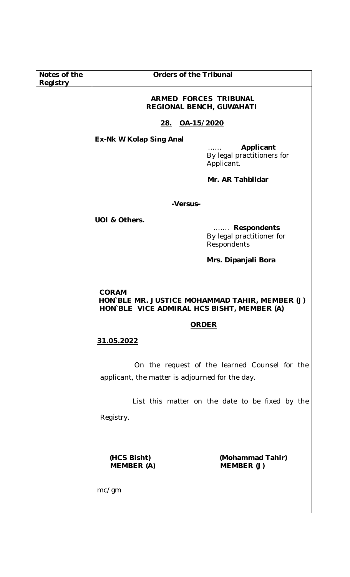| Notes of the<br>Registry | <b>Orders of the Tribunal</b>                                                    |                                                                                    |
|--------------------------|----------------------------------------------------------------------------------|------------------------------------------------------------------------------------|
|                          | <b>ARMED FORCES TRIBUNAL</b><br>REGIONAL BENCH, GUWAHATI                         |                                                                                    |
|                          | 28. OA-15/2020                                                                   |                                                                                    |
|                          | Ex-Nk W Kolap Sing Anal<br>Applicant<br>By legal practitioners for<br>Applicant. |                                                                                    |
|                          |                                                                                  | Mr. AR Tahbildar                                                                   |
|                          | -Versus-                                                                         |                                                                                    |
|                          | UOI & Others.                                                                    |                                                                                    |
|                          |                                                                                  | <b>Respondents</b><br>. $\mathbb{R}^2$<br>By legal practitioner for<br>Respondents |
|                          | Mrs. Dipanjali Bora                                                              |                                                                                    |
|                          | <b>CORAM</b><br>HON BLE VICE ADMIRAL HCS BISHT, MEMBER (A)                       | HON BLE MR. JUSTICE MOHAMMAD TAHIR, MEMBER (J)                                     |
|                          |                                                                                  | <b>ORDER</b>                                                                       |
|                          | 31.05.2022                                                                       |                                                                                    |
|                          | applicant, the matter is adjourned for the day.                                  | On the request of the learned Counsel for the                                      |
|                          | Registry.                                                                        | List this matter on the date to be fixed by the                                    |
|                          | (HCS Bisht)<br><b>MEMBER (A)</b>                                                 | (Mohammad Tahir)<br>MEMBER (J)                                                     |
|                          | mc/gm                                                                            |                                                                                    |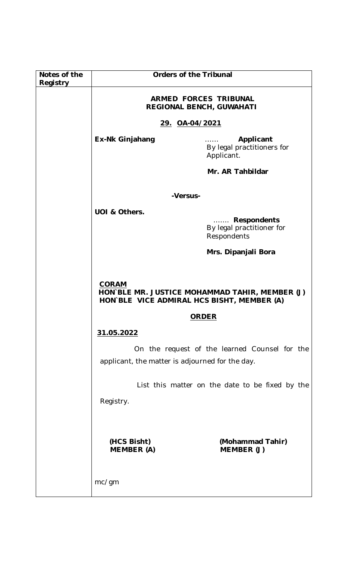| Notes of the | <b>Orders of the Tribunal</b>                              |                                                            |
|--------------|------------------------------------------------------------|------------------------------------------------------------|
| Registry     | <b>ARMED FORCES TRIBUNAL</b>                               |                                                            |
|              | <b>REGIONAL BENCH, GUWAHATI</b>                            |                                                            |
|              | <u>29. OA-04/2021</u>                                      |                                                            |
|              | <b>Ex-Nk Ginjahang</b>                                     | Applicant<br>.<br>By legal practitioners for<br>Applicant. |
|              |                                                            | Mr. AR Tahbildar                                           |
|              | -Versus-                                                   |                                                            |
|              | UOI & Others.                                              |                                                            |
|              |                                                            | Respondents<br>By legal practitioner for<br>Respondents    |
|              | Mrs. Dipanjali Bora                                        |                                                            |
|              |                                                            |                                                            |
|              | <b>CORAM</b><br>HON BLE VICE ADMIRAL HCS BISHT, MEMBER (A) | HON BLE MR. JUSTICE MOHAMMAD TAHIR, MEMBER (J)             |
|              | <b>ORDER</b>                                               |                                                            |
|              | 31.05.2022                                                 |                                                            |
|              | applicant, the matter is adjourned for the day.            | On the request of the learned Counsel for the              |
|              |                                                            | List this matter on the date to be fixed by the            |
|              | Registry.                                                  |                                                            |
|              | (HCS Bisht)<br><b>MEMBER (A)</b>                           | (Mohammad Tahir)<br>MEMBER (J)                             |
|              | mc/gm                                                      |                                                            |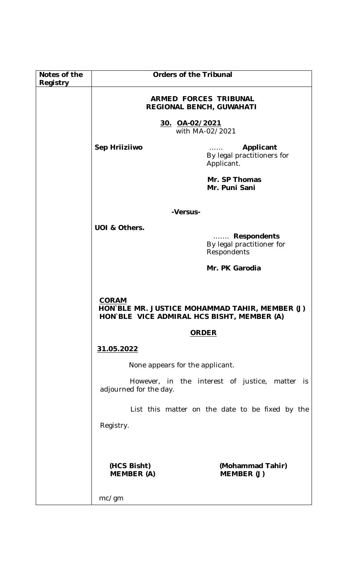| Notes of the<br>Registry |                                                                 | <b>Orders of the Tribunal</b>                                                                |
|--------------------------|-----------------------------------------------------------------|----------------------------------------------------------------------------------------------|
|                          | <b>ARMED FORCES TRIBUNAL</b><br><b>REGIONAL BENCH, GUWAHATI</b> |                                                                                              |
|                          | <u>30. OA-02/2021</u><br>with MA-02/2021                        |                                                                                              |
|                          | Sep Hriiziiwo                                                   | Applicant<br>By legal practitioners for<br>Applicant.                                        |
|                          |                                                                 | Mr. SP Thomas<br>Mr. Puni Sani                                                               |
|                          | -Versus-                                                        |                                                                                              |
|                          | UOI & Others.                                                   |                                                                                              |
|                          |                                                                 | <b>Respondents</b><br>By legal practitioner for<br>Respondents                               |
|                          | Mr. PK Garodia                                                  |                                                                                              |
|                          | <b>CORAM</b>                                                    | HON`BLE MR. JUSTICE MOHAMMAD TAHIR, MEMBER (J)<br>HON BLE VICE ADMIRAL HCS BISHT, MEMBER (A) |
|                          |                                                                 | <b>ORDER</b>                                                                                 |
|                          | 31.05.2022                                                      |                                                                                              |
|                          | None appears for the applicant.                                 |                                                                                              |
|                          | adjourned for the day.                                          | However, in the interest of justice, matter<br>is i                                          |
|                          |                                                                 | List this matter on the date to be fixed by the                                              |
|                          | Registry.                                                       |                                                                                              |
|                          |                                                                 |                                                                                              |
|                          | (HCS Bisht)<br><b>MEMBER (A)</b>                                | (Mohammad Tahir)<br>MEMBER (J)                                                               |
|                          | mc/gm                                                           |                                                                                              |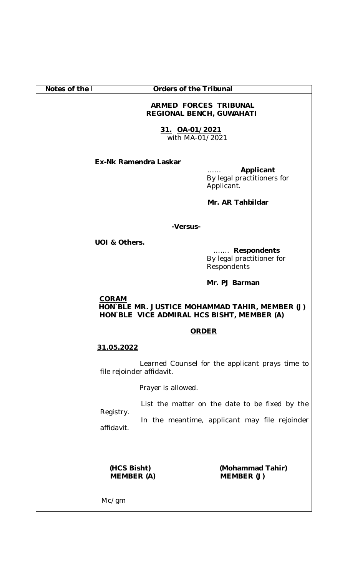| Notes of the |                                                                                                              | <b>Orders of the Tribunal</b> |                                                                           |
|--------------|--------------------------------------------------------------------------------------------------------------|-------------------------------|---------------------------------------------------------------------------|
|              | <b>ARMED FORCES TRIBUNAL</b><br><b>REGIONAL BENCH, GUWAHATI</b>                                              |                               |                                                                           |
|              | <u>31. OA-01/2021</u><br>with MA-01/2021                                                                     |                               |                                                                           |
|              | Ex-Nk Ramendra Laskar                                                                                        | .                             | Applicant<br>By legal practitioners for<br>Applicant.<br>Mr. AR Tahbildar |
|              |                                                                                                              | -Versus-                      |                                                                           |
|              | UOI & Others.                                                                                                |                               |                                                                           |
|              |                                                                                                              |                               | Respondents<br>By legal practitioner for<br>Respondents                   |
|              | Mr. PJ Barman                                                                                                |                               |                                                                           |
|              | <b>CORAM</b><br>HON BLE MR. JUSTICE MOHAMMAD TAHIR, MEMBER (J)<br>HON BLE VICE ADMIRAL HCS BISHT, MEMBER (A) |                               |                                                                           |
|              |                                                                                                              | <b>ORDER</b>                  |                                                                           |
|              | 31.05.2022                                                                                                   |                               |                                                                           |
|              | file rejoinder affidavit.                                                                                    |                               | Learned Counsel for the applicant prays time to                           |
|              |                                                                                                              | Prayer is allowed.            |                                                                           |
|              |                                                                                                              |                               | List the matter on the date to be fixed by the                            |
|              | Registry.<br>affidavit.                                                                                      |                               | In the meantime, applicant may file rejoinder                             |
|              | (HCS Bisht)<br><b>MEMBER (A)</b>                                                                             |                               | (Mohammad Tahir)<br>MEMBER (J)                                            |
|              | Mc/gm                                                                                                        |                               |                                                                           |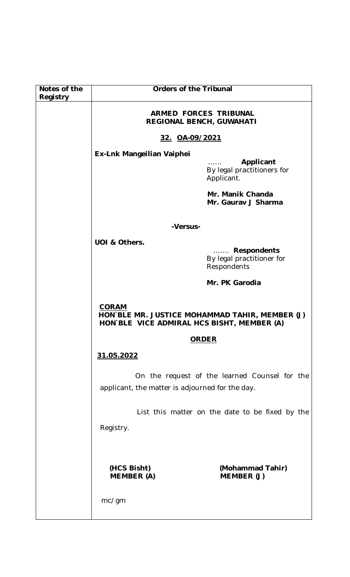| Notes of the<br>Registry | <b>Orders of the Tribunal</b>                                                                                                  |                                                                    |
|--------------------------|--------------------------------------------------------------------------------------------------------------------------------|--------------------------------------------------------------------|
|                          | <b>ARMED FORCES TRIBUNAL</b><br><b>REGIONAL BENCH, GUWAHATI</b>                                                                |                                                                    |
|                          | 32. OA-09/2021                                                                                                                 |                                                                    |
|                          | Ex-Lnk Mangeilian Vaiphei                                                                                                      |                                                                    |
|                          |                                                                                                                                | Applicant<br>1.1.1.1.1<br>By legal practitioners for<br>Applicant. |
|                          |                                                                                                                                | Mr. Manik Chanda<br>Mr. Gaurav J Sharma                            |
|                          | -Versus-                                                                                                                       |                                                                    |
|                          | UOI & Others.                                                                                                                  |                                                                    |
|                          |                                                                                                                                | Respondents<br>By legal practitioner for<br>Respondents            |
|                          | Mr. PK Garodia<br><b>CORAM</b><br>HON BLE MR. JUSTICE MOHAMMAD TAHIR, MEMBER (J)<br>HON BLE VICE ADMIRAL HCS BISHT, MEMBER (A) |                                                                    |
|                          |                                                                                                                                |                                                                    |
|                          | <b>ORDER</b>                                                                                                                   |                                                                    |
|                          | 31.05.2022                                                                                                                     |                                                                    |
|                          | applicant, the matter is adjourned for the day.                                                                                | On the request of the learned Counsel for the                      |
|                          |                                                                                                                                | List this matter on the date to be fixed by the                    |
|                          | Registry.                                                                                                                      |                                                                    |
|                          | (HCS Bisht)<br><b>MEMBER (A)</b>                                                                                               | (Mohammad Tahir)<br>MEMBER (J)                                     |
|                          | mc/gm                                                                                                                          |                                                                    |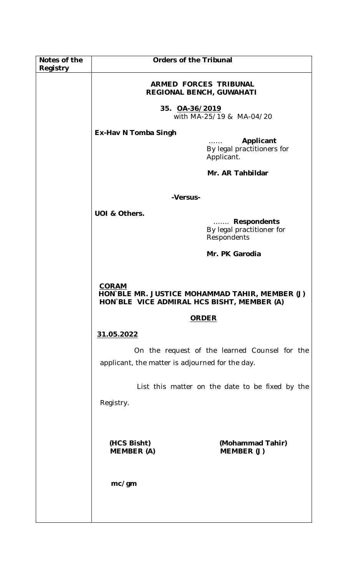| Notes of the<br>Registry | <b>Orders of the Tribunal</b>                                                                                                         |                                                         |
|--------------------------|---------------------------------------------------------------------------------------------------------------------------------------|---------------------------------------------------------|
|                          | <b>ARMED FORCES TRIBUNAL</b><br><b>REGIONAL BENCH, GUWAHATI</b><br>35. OA-36/2019<br>with MA-25/19 & MA-04/20<br>Ex-Hav N Tomba Singh |                                                         |
|                          |                                                                                                                                       |                                                         |
|                          |                                                                                                                                       |                                                         |
|                          |                                                                                                                                       | Applicant<br>By legal practitioners for<br>Applicant.   |
|                          |                                                                                                                                       | Mr. AR Tahbildar                                        |
|                          | -Versus-                                                                                                                              |                                                         |
|                          | UOI & Others.                                                                                                                         |                                                         |
|                          |                                                                                                                                       | Respondents<br>By legal practitioner for<br>Respondents |
|                          | Mr. PK Garodia                                                                                                                        |                                                         |
|                          |                                                                                                                                       |                                                         |
|                          | <b>CORAM</b><br>HON BLE MR. JUSTICE MOHAMMAD TAHIR, MEMBER (J)<br>HON BLE VICE ADMIRAL HCS BISHT, MEMBER (A)                          |                                                         |
|                          |                                                                                                                                       | <b>ORDER</b>                                            |
|                          | 31.05.2022                                                                                                                            |                                                         |
|                          | On the request of the learned Counsel for the<br>applicant, the matter is adjourned for the day.                                      |                                                         |
|                          |                                                                                                                                       |                                                         |
|                          | List this matter on the date to be fixed by the                                                                                       |                                                         |
|                          | Registry.                                                                                                                             |                                                         |
|                          |                                                                                                                                       |                                                         |
|                          | (HCS Bisht)                                                                                                                           | (Mohammad Tahir)                                        |
|                          | <b>MEMBER (A)</b>                                                                                                                     | MEMBER (J)                                              |
|                          |                                                                                                                                       |                                                         |
|                          | mc/gm                                                                                                                                 |                                                         |
|                          |                                                                                                                                       |                                                         |
|                          |                                                                                                                                       |                                                         |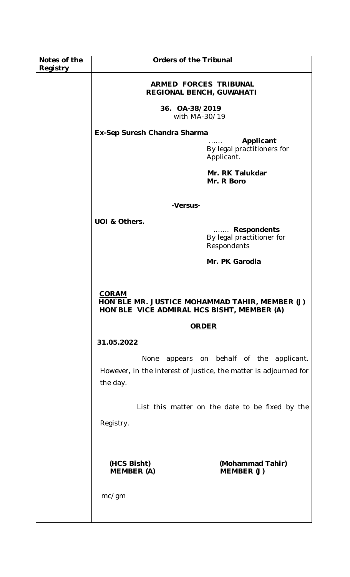| Notes of the<br>Registry | <b>Orders of the Tribunal</b>                                                                                                                                                                                                                                                                                                |                                                                     |
|--------------------------|------------------------------------------------------------------------------------------------------------------------------------------------------------------------------------------------------------------------------------------------------------------------------------------------------------------------------|---------------------------------------------------------------------|
|                          | <b>ARMED FORCES TRIBUNAL</b><br>REGIONAL BENCH, GUWAHATI                                                                                                                                                                                                                                                                     |                                                                     |
|                          | 36. 0A-38/2019<br>with MA-30/19                                                                                                                                                                                                                                                                                              |                                                                     |
|                          | Ex-Sep Suresh Chandra Sharma                                                                                                                                                                                                                                                                                                 |                                                                     |
|                          | Applicant<br>By legal practitioners for<br>Applicant.                                                                                                                                                                                                                                                                        |                                                                     |
|                          |                                                                                                                                                                                                                                                                                                                              | Mr. RK Talukdar<br>Mr. R Boro                                       |
|                          | -Versus-                                                                                                                                                                                                                                                                                                                     |                                                                     |
|                          | UOI & Others.                                                                                                                                                                                                                                                                                                                | <b>Respondents</b><br>.<br>By legal practitioner for<br>Respondents |
|                          | Mr. PK Garodia                                                                                                                                                                                                                                                                                                               |                                                                     |
|                          | <b>CORAM</b><br>HON BLE MR. JUSTICE MOHAMMAD TAHIR, MEMBER (J)<br>HON BLE VICE ADMIRAL HCS BISHT, MEMBER (A)<br><b>ORDER</b><br>31.05.2022<br>appears on behalf of the applicant.<br>None<br>However, in the interest of justice, the matter is adjourned for<br>the day.<br>List this matter on the date to be fixed by the |                                                                     |
|                          |                                                                                                                                                                                                                                                                                                                              |                                                                     |
|                          |                                                                                                                                                                                                                                                                                                                              |                                                                     |
|                          |                                                                                                                                                                                                                                                                                                                              |                                                                     |
|                          |                                                                                                                                                                                                                                                                                                                              |                                                                     |
|                          |                                                                                                                                                                                                                                                                                                                              |                                                                     |
|                          | Registry.                                                                                                                                                                                                                                                                                                                    |                                                                     |
|                          |                                                                                                                                                                                                                                                                                                                              |                                                                     |
|                          | (HCS Bisht)<br><b>MEMBER (A)</b>                                                                                                                                                                                                                                                                                             | (Mohammad Tahir)<br>MEMBER (J)                                      |
|                          | mc/gm                                                                                                                                                                                                                                                                                                                        |                                                                     |
|                          |                                                                                                                                                                                                                                                                                                                              |                                                                     |